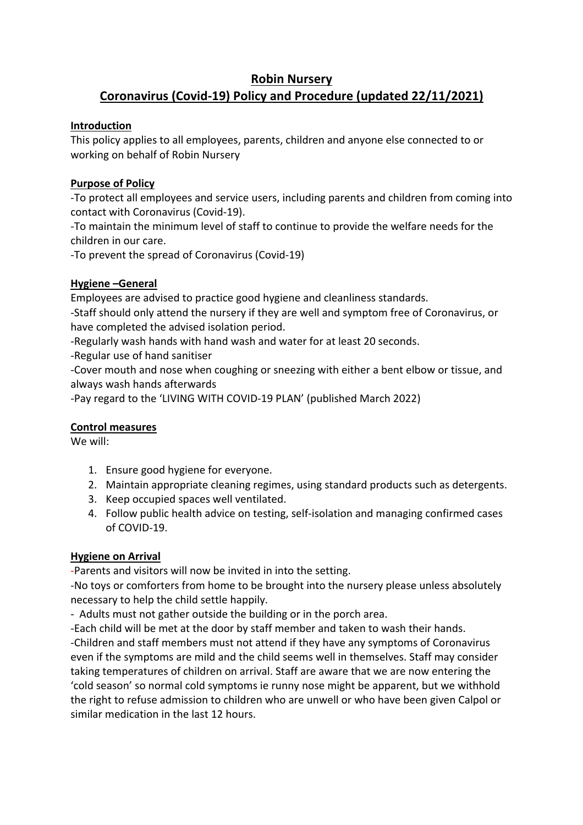### **Robin Nursery Coronavirus (Covid-19) Policy and Procedure (updated 22/11/2021)**

### **Introduction**

This policy applies to all employees, parents, children and anyone else connected to or working on behalf of Robin Nursery

# **Purpose of Policy**

-To protect all employees and service users, including parents and children from coming into contact with Coronavirus (Covid-19).

-To maintain the minimum level of staff to continue to provide the welfare needs for the children in our care.

-To prevent the spread of Coronavirus (Covid-19)

# **Hygiene –General**

Employees are advised to practice good hygiene and cleanliness standards.

-Staff should only attend the nursery if they are well and symptom free of Coronavirus, or have completed the advised isolation period.

-Regularly wash hands with hand wash and water for at least 20 seconds.

-Regular use of hand sanitiser

-Cover mouth and nose when coughing or sneezing with either a bent elbow or tissue, and always wash hands afterwards

-Pay regard to the 'LIVING WITH COVID-19 PLAN' (published March 2022)

# **Control measures**

We will:

- 1. Ensure good hygiene for everyone.
- 2. Maintain appropriate cleaning regimes, using standard products such as detergents.
- 3. Keep occupied spaces well ventilated.
- 4. Follow public health advice on testing, self-isolation and managing confirmed cases of COVID-19.

# **Hygiene on Arrival**

-Parents and visitors will now be invited in into the setting.

-No toys or comforters from home to be brought into the nursery please unless absolutely necessary to help the child settle happily.

- Adults must not gather outside the building or in the porch area.

-Each child will be met at the door by staff member and taken to wash their hands. -Children and staff members must not attend if they have any symptoms of Coronavirus even if the symptoms are mild and the child seems well in themselves. Staff may consider taking temperatures of children on arrival. Staff are aware that we are now entering the 'cold season' so normal cold symptoms ie runny nose might be apparent, but we withhold the right to refuse admission to children who are unwell or who have been given Calpol or similar medication in the last 12 hours.